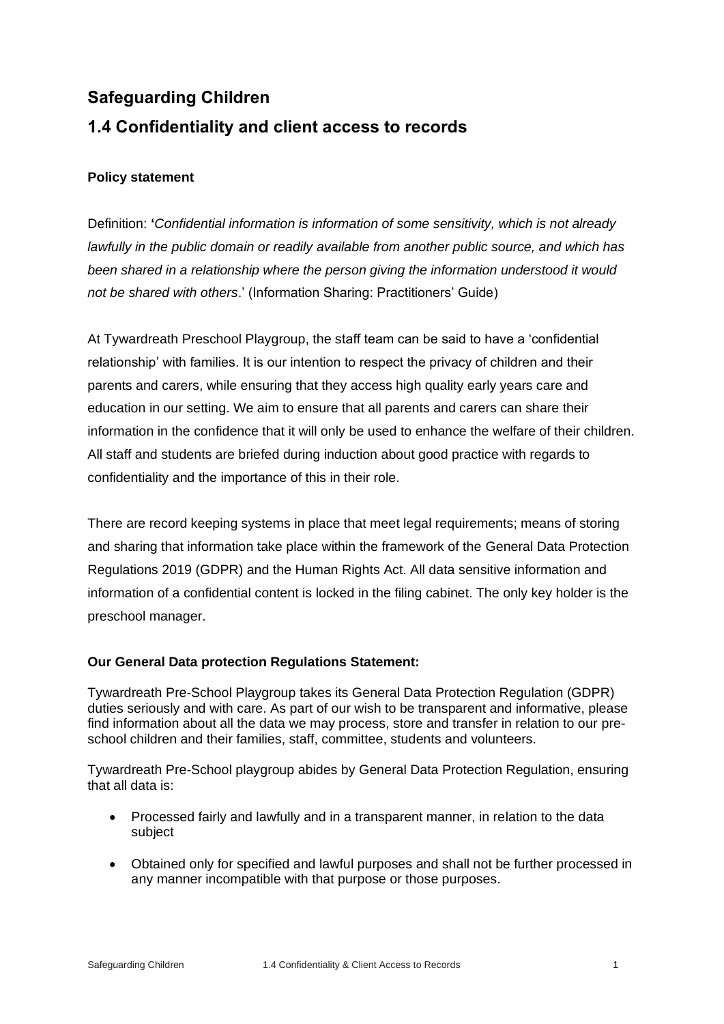# **Safeguarding Children 1.4 Confidentiality and client access to records**

## **Policy statement**

Definition: **'***Confidential information is information of some sensitivity, which is not already lawfully in the public domain or readily available from another public source, and which has been shared in a relationship where the person giving the information understood it would not be shared with others*.' (Information Sharing: Practitioners' Guide)

At Tywardreath Preschool Playgroup, the staff team can be said to have a 'confidential relationship' with families. It is our intention to respect the privacy of children and their parents and carers, while ensuring that they access high quality early years care and education in our setting. We aim to ensure that all parents and carers can share their information in the confidence that it will only be used to enhance the welfare of their children. All staff and students are briefed during induction about good practice with regards to confidentiality and the importance of this in their role.

There are record keeping systems in place that meet legal requirements; means of storing and sharing that information take place within the framework of the General Data Protection Regulations 2019 (GDPR) and the Human Rights Act. All data sensitive information and information of a confidential content is locked in the filing cabinet. The only key holder is the preschool manager.

## **Our General Data protection Regulations Statement:**

Tywardreath Pre-School Playgroup takes its General Data Protection Regulation (GDPR) duties seriously and with care. As part of our wish to be transparent and informative, please find information about all the data we may process, store and transfer in relation to our preschool children and their families, staff, committee, students and volunteers.

Tywardreath Pre-School playgroup abides by General Data Protection Regulation, ensuring that all data is:

- Processed fairly and lawfully and in a transparent manner, in relation to the data subject
- Obtained only for specified and lawful purposes and shall not be further processed in any manner incompatible with that purpose or those purposes.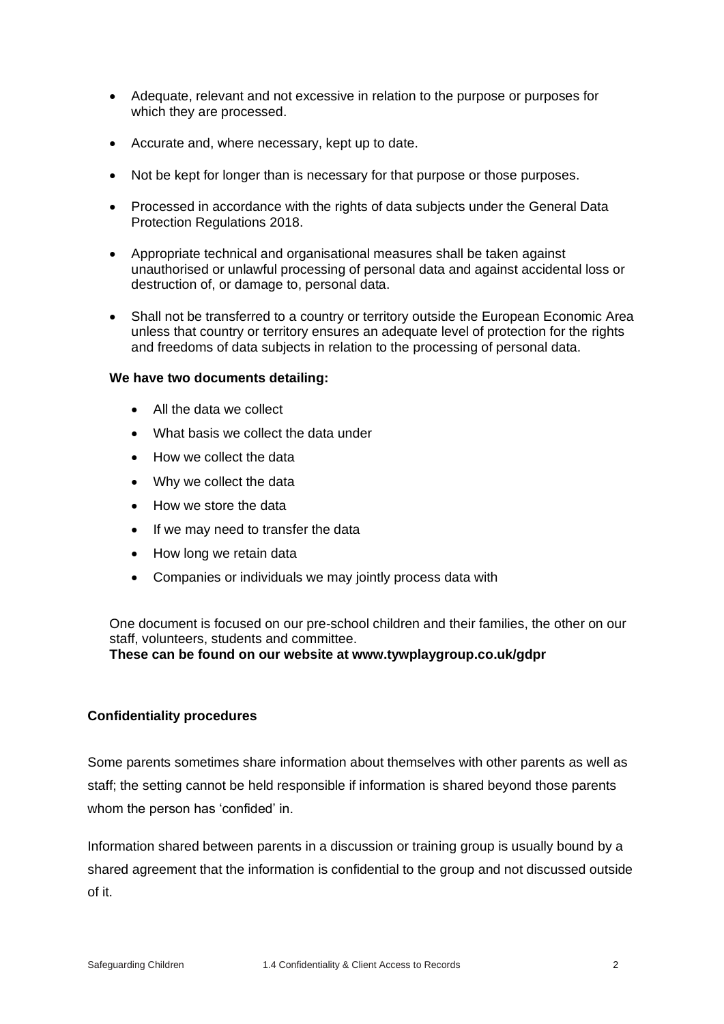- Adequate, relevant and not excessive in relation to the purpose or purposes for which they are processed.
- Accurate and, where necessary, kept up to date.
- Not be kept for longer than is necessary for that purpose or those purposes.
- Processed in accordance with the rights of data subjects under the General Data Protection Regulations 2018.
- Appropriate technical and organisational measures shall be taken against unauthorised or unlawful processing of personal data and against accidental loss or destruction of, or damage to, personal data.
- Shall not be transferred to a country or territory outside the European Economic Area unless that country or territory ensures an adequate level of protection for the rights and freedoms of data subjects in relation to the processing of personal data.

#### **We have two documents detailing:**

- All the data we collect
- What basis we collect the data under
- How we collect the data
- Why we collect the data
- How we store the data
- If we may need to transfer the data
- How long we retain data
- Companies or individuals we may jointly process data with

One document is focused on our pre-school children and their families, the other on our staff, volunteers, students and committee.

**These can be found on our website at www.tywplaygroup.co.uk/gdpr**

#### **Confidentiality procedures**

Some parents sometimes share information about themselves with other parents as well as staff; the setting cannot be held responsible if information is shared beyond those parents whom the person has 'confided' in.

Information shared between parents in a discussion or training group is usually bound by a shared agreement that the information is confidential to the group and not discussed outside of it.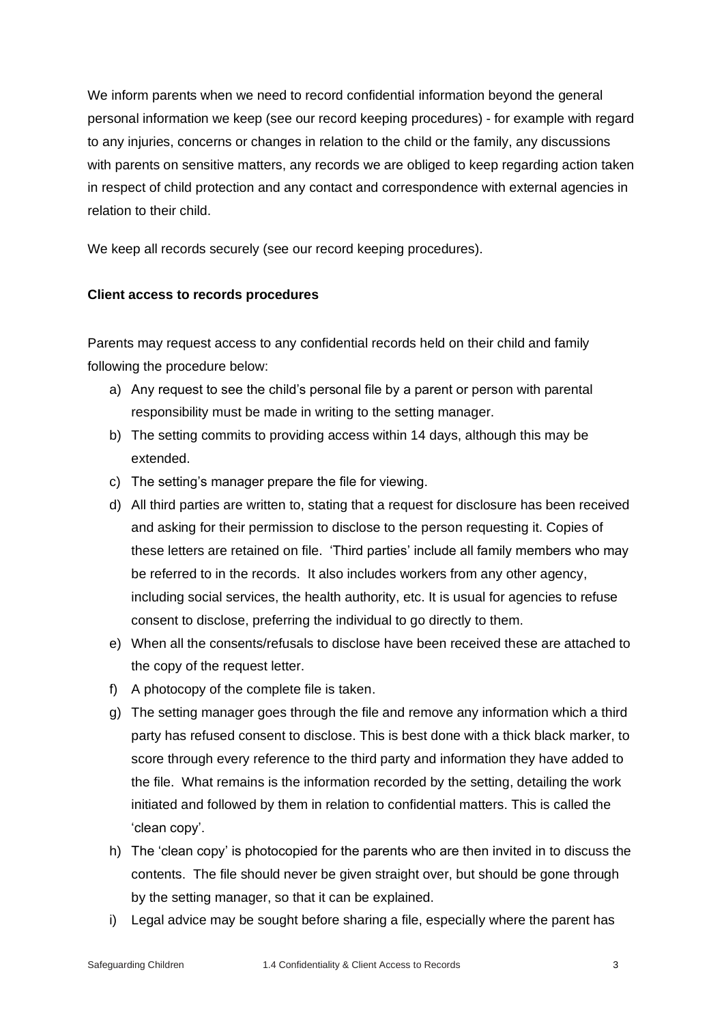We inform parents when we need to record confidential information beyond the general personal information we keep (see our record keeping procedures) - for example with regard to any injuries, concerns or changes in relation to the child or the family, any discussions with parents on sensitive matters, any records we are obliged to keep regarding action taken in respect of child protection and any contact and correspondence with external agencies in relation to their child.

We keep all records securely (see our record keeping procedures).

## **Client access to records procedures**

Parents may request access to any confidential records held on their child and family following the procedure below:

- a) Any request to see the child's personal file by a parent or person with parental responsibility must be made in writing to the setting manager.
- b) The setting commits to providing access within 14 days, although this may be extended.
- c) The setting's manager prepare the file for viewing.
- d) All third parties are written to, stating that a request for disclosure has been received and asking for their permission to disclose to the person requesting it. Copies of these letters are retained on file. 'Third parties' include all family members who may be referred to in the records. It also includes workers from any other agency, including social services, the health authority, etc. It is usual for agencies to refuse consent to disclose, preferring the individual to go directly to them.
- e) When all the consents/refusals to disclose have been received these are attached to the copy of the request letter.
- f) A photocopy of the complete file is taken.
- g) The setting manager goes through the file and remove any information which a third party has refused consent to disclose. This is best done with a thick black marker, to score through every reference to the third party and information they have added to the file. What remains is the information recorded by the setting, detailing the work initiated and followed by them in relation to confidential matters. This is called the 'clean copy'.
- h) The 'clean copy' is photocopied for the parents who are then invited in to discuss the contents. The file should never be given straight over, but should be gone through by the setting manager, so that it can be explained.
- i) Legal advice may be sought before sharing a file, especially where the parent has